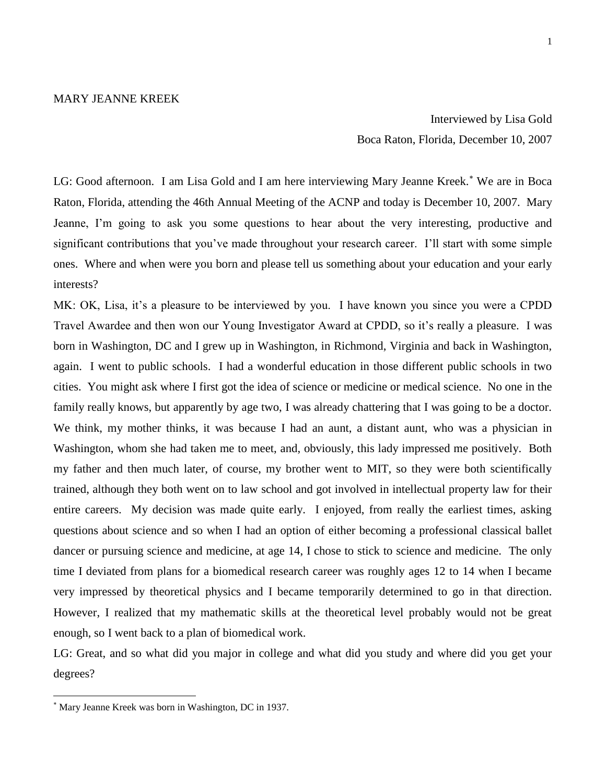Interviewed by Lisa Gold Boca Raton, Florida, December 10, 2007

LG: Good afternoon. I am Lisa Gold and I am here interviewing Mary Jeanne Kreek.<sup>\*</sup> We are in Boca Raton, Florida, attending the 46th Annual Meeting of the ACNP and today is December 10, 2007. Mary Jeanne, I'm going to ask you some questions to hear about the very interesting, productive and significant contributions that you've made throughout your research career. I'll start with some simple ones. Where and when were you born and please tell us something about your education and your early interests?

MK: OK, Lisa, it's a pleasure to be interviewed by you. I have known you since you were a CPDD Travel Awardee and then won our Young Investigator Award at CPDD, so it's really a pleasure. I was born in Washington, DC and I grew up in Washington, in Richmond, Virginia and back in Washington, again. I went to public schools. I had a wonderful education in those different public schools in two cities. You might ask where I first got the idea of science or medicine or medical science. No one in the family really knows, but apparently by age two, I was already chattering that I was going to be a doctor. We think, my mother thinks, it was because I had an aunt, a distant aunt, who was a physician in Washington, whom she had taken me to meet, and, obviously, this lady impressed me positively. Both my father and then much later, of course, my brother went to MIT, so they were both scientifically trained, although they both went on to law school and got involved in intellectual property law for their entire careers. My decision was made quite early. I enjoyed, from really the earliest times, asking questions about science and so when I had an option of either becoming a professional classical ballet dancer or pursuing science and medicine, at age 14, I chose to stick to science and medicine. The only time I deviated from plans for a biomedical research career was roughly ages 12 to 14 when I became very impressed by theoretical physics and I became temporarily determined to go in that direction. However, I realized that my mathematic skills at the theoretical level probably would not be great enough, so I went back to a plan of biomedical work.

LG: Great, and so what did you major in college and what did you study and where did you get your degrees?

 $\overline{a}$ 

Mary Jeanne Kreek was born in Washington, DC in 1937.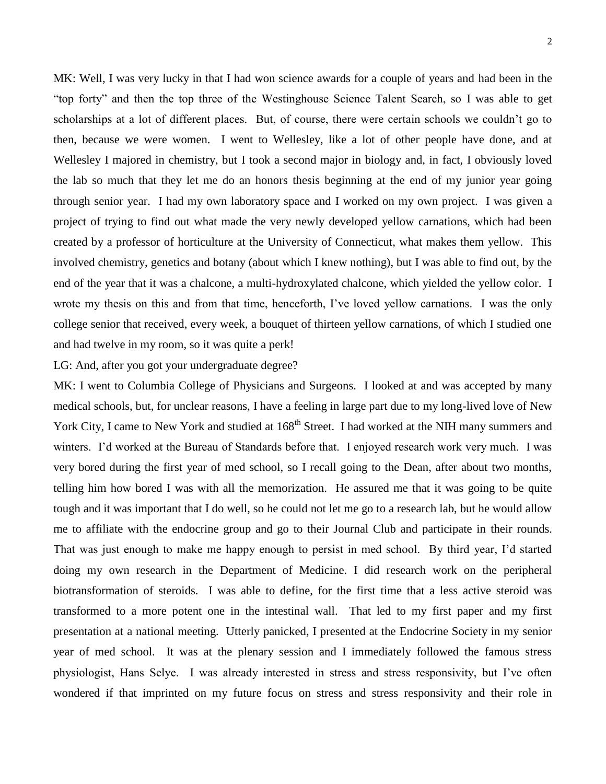MK: Well, I was very lucky in that I had won science awards for a couple of years and had been in the "top forty" and then the top three of the Westinghouse Science Talent Search, so I was able to get scholarships at a lot of different places. But, of course, there were certain schools we couldn't go to then, because we were women. I went to Wellesley, like a lot of other people have done, and at Wellesley I majored in chemistry, but I took a second major in biology and, in fact, I obviously loved the lab so much that they let me do an honors thesis beginning at the end of my junior year going through senior year. I had my own laboratory space and I worked on my own project. I was given a project of trying to find out what made the very newly developed yellow carnations, which had been created by a professor of horticulture at the University of Connecticut, what makes them yellow. This involved chemistry, genetics and botany (about which I knew nothing), but I was able to find out, by the end of the year that it was a chalcone, a multi-hydroxylated chalcone, which yielded the yellow color. I wrote my thesis on this and from that time, henceforth, I've loved yellow carnations. I was the only college senior that received, every week, a bouquet of thirteen yellow carnations, of which I studied one and had twelve in my room, so it was quite a perk!

LG: And, after you got your undergraduate degree?

MK: I went to Columbia College of Physicians and Surgeons. I looked at and was accepted by many medical schools, but, for unclear reasons, I have a feeling in large part due to my long-lived love of New York City, I came to New York and studied at  $168^{th}$  Street. I had worked at the NIH many summers and winters. I'd worked at the Bureau of Standards before that. I enjoyed research work very much. I was very bored during the first year of med school, so I recall going to the Dean, after about two months, telling him how bored I was with all the memorization. He assured me that it was going to be quite tough and it was important that I do well, so he could not let me go to a research lab, but he would allow me to affiliate with the endocrine group and go to their Journal Club and participate in their rounds. That was just enough to make me happy enough to persist in med school. By third year, I'd started doing my own research in the Department of Medicine. I did research work on the peripheral biotransformation of steroids. I was able to define, for the first time that a less active steroid was transformed to a more potent one in the intestinal wall. That led to my first paper and my first presentation at a national meeting. Utterly panicked, I presented at the Endocrine Society in my senior year of med school. It was at the plenary session and I immediately followed the famous stress physiologist, Hans Selye. I was already interested in stress and stress responsivity, but I've often wondered if that imprinted on my future focus on stress and stress responsivity and their role in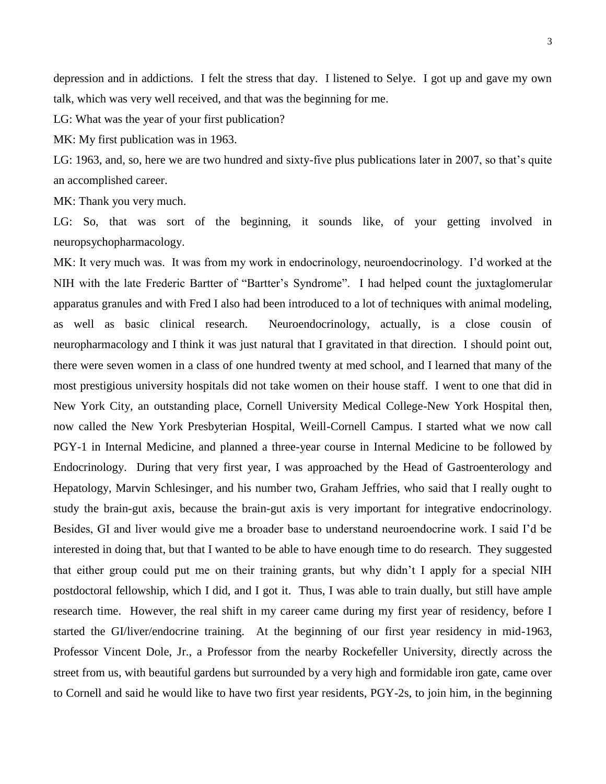depression and in addictions. I felt the stress that day. I listened to Selye. I got up and gave my own talk, which was very well received, and that was the beginning for me.

LG: What was the year of your first publication?

MK: My first publication was in 1963.

LG: 1963, and, so, here we are two hundred and sixty-five plus publications later in 2007, so that's quite an accomplished career.

MK: Thank you very much.

LG: So, that was sort of the beginning, it sounds like, of your getting involved in neuropsychopharmacology.

MK: It very much was. It was from my work in endocrinology, neuroendocrinology. I'd worked at the NIH with the late Frederic Bartter of "Bartter's Syndrome". I had helped count the juxtaglomerular apparatus granules and with Fred I also had been introduced to a lot of techniques with animal modeling, as well as basic clinical research. Neuroendocrinology, actually, is a close cousin of neuropharmacology and I think it was just natural that I gravitated in that direction. I should point out, there were seven women in a class of one hundred twenty at med school, and I learned that many of the most prestigious university hospitals did not take women on their house staff. I went to one that did in New York City, an outstanding place, Cornell University Medical College-New York Hospital then, now called the New York Presbyterian Hospital, Weill-Cornell Campus. I started what we now call PGY-1 in Internal Medicine, and planned a three-year course in Internal Medicine to be followed by Endocrinology. During that very first year, I was approached by the Head of Gastroenterology and Hepatology, Marvin Schlesinger, and his number two, Graham Jeffries, who said that I really ought to study the brain-gut axis, because the brain-gut axis is very important for integrative endocrinology. Besides, GI and liver would give me a broader base to understand neuroendocrine work. I said I'd be interested in doing that, but that I wanted to be able to have enough time to do research. They suggested that either group could put me on their training grants, but why didn't I apply for a special NIH postdoctoral fellowship, which I did, and I got it. Thus, I was able to train dually, but still have ample research time. However, the real shift in my career came during my first year of residency, before I started the GI/liver/endocrine training. At the beginning of our first year residency in mid-1963, Professor Vincent Dole, Jr., a Professor from the nearby Rockefeller University, directly across the street from us, with beautiful gardens but surrounded by a very high and formidable iron gate, came over to Cornell and said he would like to have two first year residents, PGY-2s, to join him, in the beginning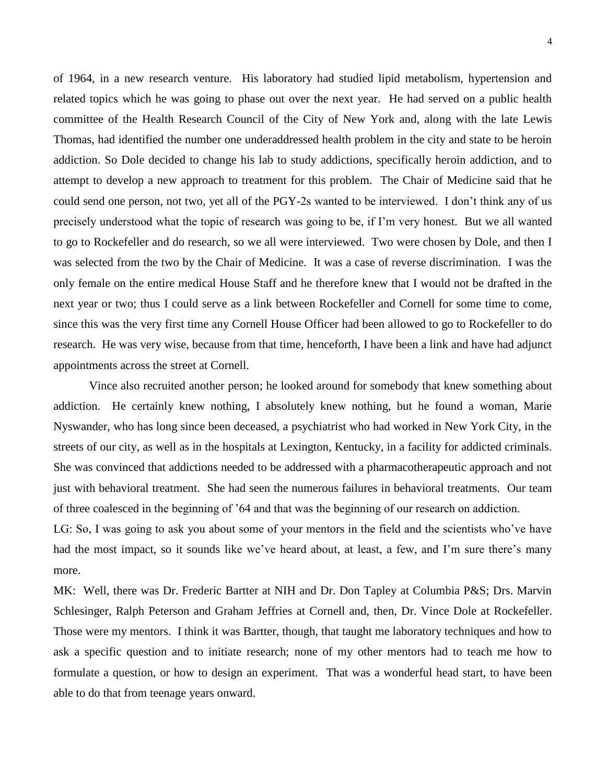of 1964, in a new research venture. His laboratory had studied lipid metabolism, hypertension and related topics which he was going to phase out over the next year. He had served on a public health committee of the Health Research Council of the City of New York and, along with the late Lewis Thomas, had identified the number one underaddressed health problem in the city and state to be heroin addiction. So Dole decided to change his lab to study addictions, specifically heroin addiction, and to attempt to develop a new approach to treatment for this problem. The Chair of Medicine said that he could send one person, not two, yet all of the PGY-2s wanted to be interviewed. I don't think any of us precisely understood what the topic of research was going to be, if I'm very honest. But we all wanted to go to Rockefeller and do research, so we all were interviewed. Two were chosen by Dole, and then I was selected from the two by the Chair of Medicine. It was a case of reverse discrimination. I was the only female on the entire medical House Staff and he therefore knew that I would not be drafted in the next year or two; thus I could serve as a link between Rockefeller and Cornell for some time to come, since this was the very first time any Cornell House Officer had been allowed to go to Rockefeller to do research. He was very wise, because from that time, henceforth, I have been a link and have had adjunct appointments across the street at Cornell.

Vince also recruited another person; he looked around for somebody that knew something about addiction. He certainly knew nothing, I absolutely knew nothing, but he found a woman, Marie Nyswander, who has long since been deceased, a psychiatrist who had worked in New York City, in the streets of our city, as well as in the hospitals at Lexington, Kentucky, in a facility for addicted criminals. She was convinced that addictions needed to be addressed with a pharmacotherapeutic approach and not just with behavioral treatment. She had seen the numerous failures in behavioral treatments. Our team of three coalesced in the beginning of '64 and that was the beginning of our research on addiction.

LG: So, I was going to ask you about some of your mentors in the field and the scientists who've have had the most impact, so it sounds like we've heard about, at least, a few, and I'm sure there's many more.

MK: Well, there was Dr. Frederic Bartter at NIH and Dr. Don Tapley at Columbia P&S; Drs. Marvin Schlesinger, Ralph Peterson and Graham Jeffries at Cornell and, then, Dr. Vince Dole at Rockefeller. Those were my mentors. I think it was Bartter, though, that taught me laboratory techniques and how to ask a specific question and to initiate research; none of my other mentors had to teach me how to formulate a question, or how to design an experiment. That was a wonderful head start, to have been able to do that from teenage years onward.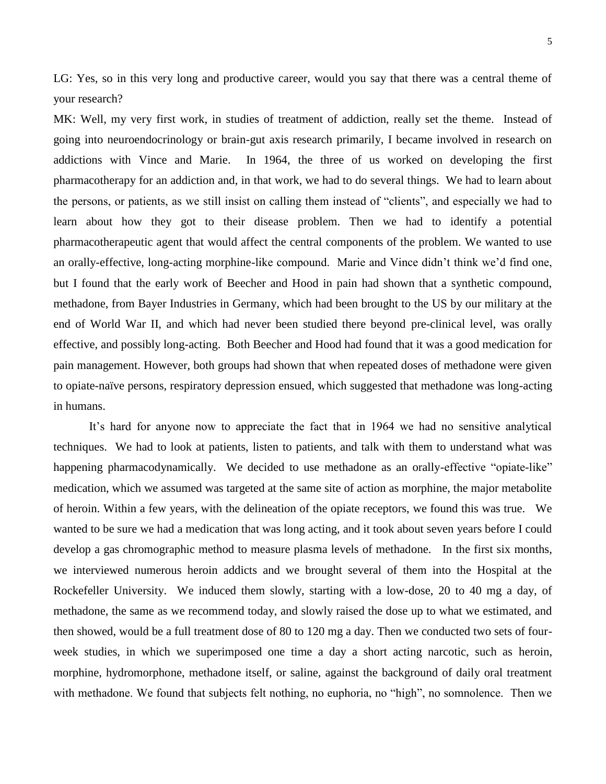LG: Yes, so in this very long and productive career, would you say that there was a central theme of your research?

MK: Well, my very first work, in studies of treatment of addiction, really set the theme. Instead of going into neuroendocrinology or brain-gut axis research primarily, I became involved in research on addictions with Vince and Marie. In 1964, the three of us worked on developing the first pharmacotherapy for an addiction and, in that work, we had to do several things. We had to learn about the persons, or patients, as we still insist on calling them instead of "clients", and especially we had to learn about how they got to their disease problem. Then we had to identify a potential pharmacotherapeutic agent that would affect the central components of the problem. We wanted to use an orally-effective, long-acting morphine-like compound. Marie and Vince didn't think we'd find one, but I found that the early work of Beecher and Hood in pain had shown that a synthetic compound, methadone, from Bayer Industries in Germany, which had been brought to the US by our military at the end of World War II, and which had never been studied there beyond pre-clinical level, was orally effective, and possibly long-acting. Both Beecher and Hood had found that it was a good medication for pain management. However, both groups had shown that when repeated doses of methadone were given to opiate-naïve persons, respiratory depression ensued, which suggested that methadone was long-acting in humans.

It's hard for anyone now to appreciate the fact that in 1964 we had no sensitive analytical techniques. We had to look at patients, listen to patients, and talk with them to understand what was happening pharmacodynamically. We decided to use methadone as an orally-effective "opiate-like" medication, which we assumed was targeted at the same site of action as morphine, the major metabolite of heroin. Within a few years, with the delineation of the opiate receptors, we found this was true. We wanted to be sure we had a medication that was long acting, and it took about seven years before I could develop a gas chromographic method to measure plasma levels of methadone. In the first six months, we interviewed numerous heroin addicts and we brought several of them into the Hospital at the Rockefeller University. We induced them slowly, starting with a low-dose, 20 to 40 mg a day, of methadone, the same as we recommend today, and slowly raised the dose up to what we estimated, and then showed, would be a full treatment dose of 80 to 120 mg a day. Then we conducted two sets of fourweek studies, in which we superimposed one time a day a short acting narcotic, such as heroin, morphine, hydromorphone, methadone itself, or saline, against the background of daily oral treatment with methadone. We found that subjects felt nothing, no euphoria, no "high", no somnolence. Then we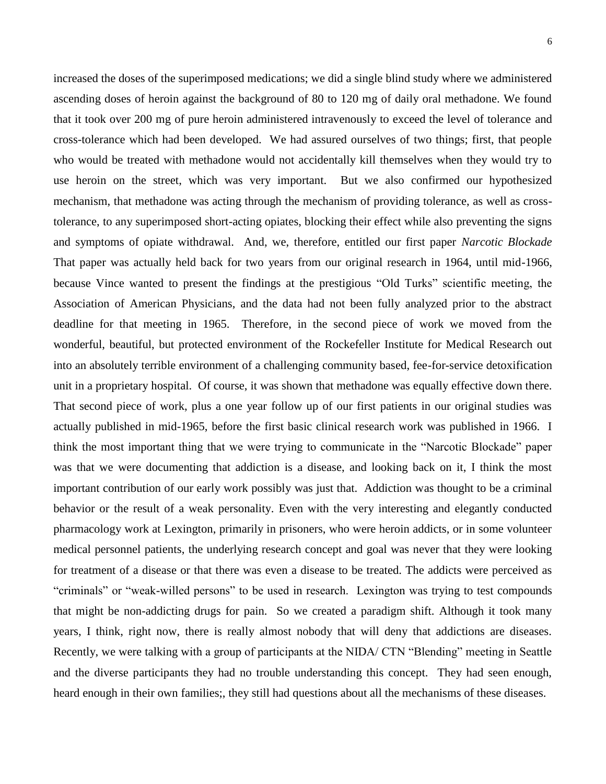6

increased the doses of the superimposed medications; we did a single blind study where we administered ascending doses of heroin against the background of 80 to 120 mg of daily oral methadone. We found that it took over 200 mg of pure heroin administered intravenously to exceed the level of tolerance and cross-tolerance which had been developed. We had assured ourselves of two things; first, that people who would be treated with methadone would not accidentally kill themselves when they would try to use heroin on the street, which was very important. But we also confirmed our hypothesized mechanism, that methadone was acting through the mechanism of providing tolerance, as well as crosstolerance, to any superimposed short-acting opiates, blocking their effect while also preventing the signs and symptoms of opiate withdrawal. And, we, therefore, entitled our first paper *Narcotic Blockade*  That paper was actually held back for two years from our original research in 1964, until mid-1966, because Vince wanted to present the findings at the prestigious "Old Turks" scientific meeting, the Association of American Physicians, and the data had not been fully analyzed prior to the abstract deadline for that meeting in 1965. Therefore, in the second piece of work we moved from the wonderful, beautiful, but protected environment of the Rockefeller Institute for Medical Research out into an absolutely terrible environment of a challenging community based, fee-for-service detoxification unit in a proprietary hospital. Of course, it was shown that methadone was equally effective down there. That second piece of work, plus a one year follow up of our first patients in our original studies was actually published in mid-1965, before the first basic clinical research work was published in 1966. I think the most important thing that we were trying to communicate in the "Narcotic Blockade" paper was that we were documenting that addiction is a disease, and looking back on it, I think the most important contribution of our early work possibly was just that. Addiction was thought to be a criminal behavior or the result of a weak personality. Even with the very interesting and elegantly conducted pharmacology work at Lexington, primarily in prisoners, who were heroin addicts, or in some volunteer medical personnel patients, the underlying research concept and goal was never that they were looking for treatment of a disease or that there was even a disease to be treated. The addicts were perceived as "criminals" or "weak-willed persons" to be used in research. Lexington was trying to test compounds that might be non-addicting drugs for pain. So we created a paradigm shift. Although it took many years, I think, right now, there is really almost nobody that will deny that addictions are diseases. Recently, we were talking with a group of participants at the NIDA/ CTN "Blending" meeting in Seattle and the diverse participants they had no trouble understanding this concept. They had seen enough, heard enough in their own families;, they still had questions about all the mechanisms of these diseases.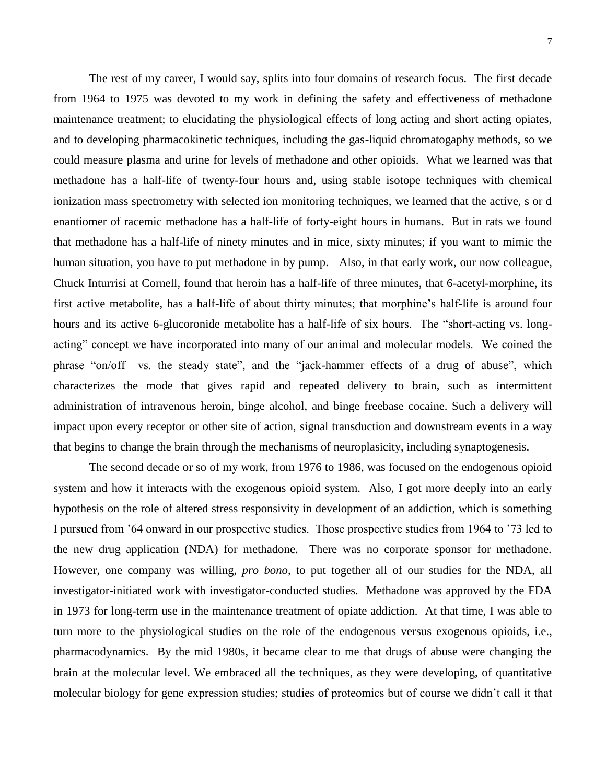7

The rest of my career, I would say, splits into four domains of research focus. The first decade from 1964 to 1975 was devoted to my work in defining the safety and effectiveness of methadone maintenance treatment; to elucidating the physiological effects of long acting and short acting opiates, and to developing pharmacokinetic techniques, including the gas-liquid chromatogaphy methods, so we could measure plasma and urine for levels of methadone and other opioids. What we learned was that methadone has a half-life of twenty-four hours and, using stable isotope techniques with chemical ionization mass spectrometry with selected ion monitoring techniques, we learned that the active, s or d enantiomer of racemic methadone has a half-life of forty-eight hours in humans. But in rats we found that methadone has a half-life of ninety minutes and in mice, sixty minutes; if you want to mimic the human situation, you have to put methadone in by pump. Also, in that early work, our now colleague, Chuck Inturrisi at Cornell, found that heroin has a half-life of three minutes, that 6-acetyl-morphine, its first active metabolite, has a half-life of about thirty minutes; that morphine's half-life is around four hours and its active 6-glucoronide metabolite has a half-life of six hours. The "short-acting vs. longacting" concept we have incorporated into many of our animal and molecular models. We coined the phrase "on/off vs. the steady state", and the "jack-hammer effects of a drug of abuse", which characterizes the mode that gives rapid and repeated delivery to brain, such as intermittent administration of intravenous heroin, binge alcohol, and binge freebase cocaine. Such a delivery will impact upon every receptor or other site of action, signal transduction and downstream events in a way that begins to change the brain through the mechanisms of neuroplasicity, including synaptogenesis.

The second decade or so of my work, from 1976 to 1986, was focused on the endogenous opioid system and how it interacts with the exogenous opioid system. Also, I got more deeply into an early hypothesis on the role of altered stress responsivity in development of an addiction, which is something I pursued from '64 onward in our prospective studies. Those prospective studies from 1964 to '73 led to the new drug application (NDA) for methadone. There was no corporate sponsor for methadone. However, one company was willing, *pro bono*, to put together all of our studies for the NDA, all investigator-initiated work with investigator-conducted studies. Methadone was approved by the FDA in 1973 for long-term use in the maintenance treatment of opiate addiction. At that time, I was able to turn more to the physiological studies on the role of the endogenous versus exogenous opioids, i.e., pharmacodynamics. By the mid 1980s, it became clear to me that drugs of abuse were changing the brain at the molecular level. We embraced all the techniques, as they were developing, of quantitative molecular biology for gene expression studies; studies of proteomics but of course we didn't call it that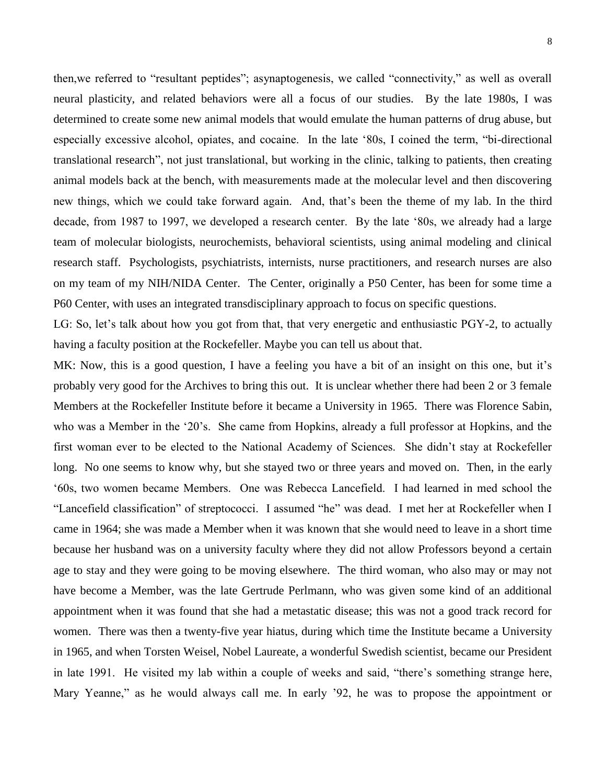then,we referred to "resultant peptides"; asynaptogenesis, we called "connectivity," as well as overall neural plasticity, and related behaviors were all a focus of our studies. By the late 1980s, I was determined to create some new animal models that would emulate the human patterns of drug abuse, but especially excessive alcohol, opiates, and cocaine. In the late '80s, I coined the term, "bi-directional translational research", not just translational, but working in the clinic, talking to patients, then creating animal models back at the bench, with measurements made at the molecular level and then discovering new things, which we could take forward again. And, that's been the theme of my lab. In the third decade, from 1987 to 1997, we developed a research center. By the late '80s, we already had a large team of molecular biologists, neurochemists, behavioral scientists, using animal modeling and clinical research staff. Psychologists, psychiatrists, internists, nurse practitioners, and research nurses are also on my team of my NIH/NIDA Center. The Center, originally a P50 Center, has been for some time a P60 Center, with uses an integrated transdisciplinary approach to focus on specific questions.

LG: So, let's talk about how you got from that, that very energetic and enthusiastic PGY-2, to actually having a faculty position at the Rockefeller. Maybe you can tell us about that.

MK: Now, this is a good question, I have a feeling you have a bit of an insight on this one, but it's probably very good for the Archives to bring this out. It is unclear whether there had been 2 or 3 female Members at the Rockefeller Institute before it became a University in 1965. There was Florence Sabin, who was a Member in the '20's. She came from Hopkins, already a full professor at Hopkins, and the first woman ever to be elected to the National Academy of Sciences. She didn't stay at Rockefeller long. No one seems to know why, but she stayed two or three years and moved on. Then, in the early '60s, two women became Members. One was Rebecca Lancefield. I had learned in med school the "Lancefield classification" of streptococci. I assumed "he" was dead. I met her at Rockefeller when I came in 1964; she was made a Member when it was known that she would need to leave in a short time because her husband was on a university faculty where they did not allow Professors beyond a certain age to stay and they were going to be moving elsewhere. The third woman, who also may or may not have become a Member, was the late Gertrude Perlmann, who was given some kind of an additional appointment when it was found that she had a metastatic disease; this was not a good track record for women. There was then a twenty-five year hiatus, during which time the Institute became a University in 1965, and when Torsten Weisel, Nobel Laureate, a wonderful Swedish scientist, became our President in late 1991. He visited my lab within a couple of weeks and said, "there's something strange here, Mary Yeanne," as he would always call me. In early '92, he was to propose the appointment or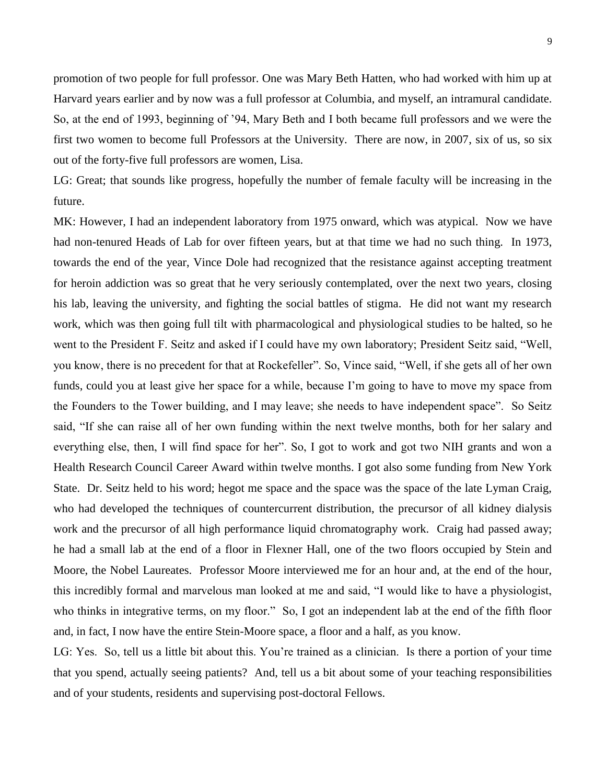promotion of two people for full professor. One was Mary Beth Hatten, who had worked with him up at Harvard years earlier and by now was a full professor at Columbia, and myself, an intramural candidate. So, at the end of 1993, beginning of '94, Mary Beth and I both became full professors and we were the first two women to become full Professors at the University. There are now, in 2007, six of us, so six out of the forty-five full professors are women, Lisa.

LG: Great; that sounds like progress, hopefully the number of female faculty will be increasing in the future.

MK: However, I had an independent laboratory from 1975 onward, which was atypical. Now we have had non-tenured Heads of Lab for over fifteen years, but at that time we had no such thing. In 1973, towards the end of the year, Vince Dole had recognized that the resistance against accepting treatment for heroin addiction was so great that he very seriously contemplated, over the next two years, closing his lab, leaving the university, and fighting the social battles of stigma. He did not want my research work, which was then going full tilt with pharmacological and physiological studies to be halted, so he went to the President F. Seitz and asked if I could have my own laboratory; President Seitz said, "Well, you know, there is no precedent for that at Rockefeller". So, Vince said, "Well, if she gets all of her own funds, could you at least give her space for a while, because I'm going to have to move my space from the Founders to the Tower building, and I may leave; she needs to have independent space". So Seitz said, "If she can raise all of her own funding within the next twelve months, both for her salary and everything else, then, I will find space for her". So, I got to work and got two NIH grants and won a Health Research Council Career Award within twelve months. I got also some funding from New York State. Dr. Seitz held to his word; hegot me space and the space was the space of the late Lyman Craig, who had developed the techniques of countercurrent distribution, the precursor of all kidney dialysis work and the precursor of all high performance liquid chromatography work. Craig had passed away; he had a small lab at the end of a floor in Flexner Hall, one of the two floors occupied by Stein and Moore, the Nobel Laureates. Professor Moore interviewed me for an hour and, at the end of the hour, this incredibly formal and marvelous man looked at me and said, "I would like to have a physiologist, who thinks in integrative terms, on my floor." So, I got an independent lab at the end of the fifth floor and, in fact, I now have the entire Stein-Moore space, a floor and a half, as you know.

LG: Yes. So, tell us a little bit about this. You're trained as a clinician. Is there a portion of your time that you spend, actually seeing patients? And, tell us a bit about some of your teaching responsibilities and of your students, residents and supervising post-doctoral Fellows.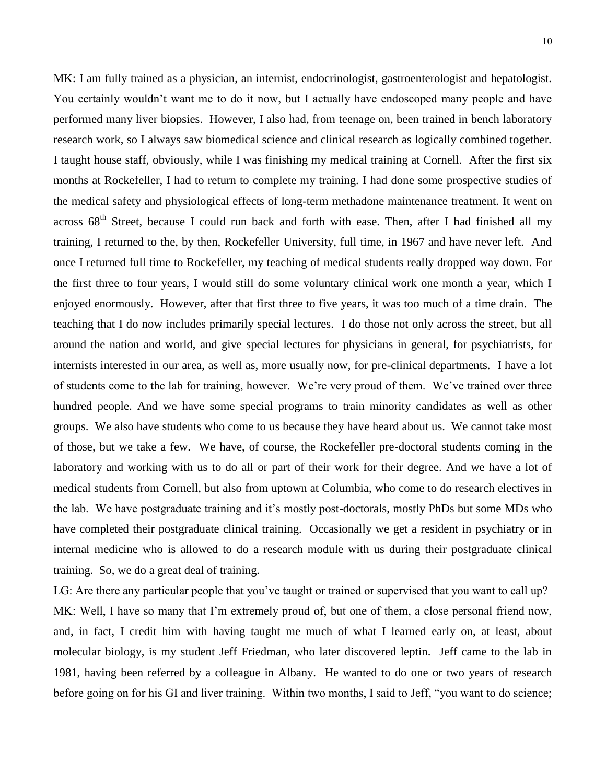MK: I am fully trained as a physician, an internist, endocrinologist, gastroenterologist and hepatologist. You certainly wouldn't want me to do it now, but I actually have endoscoped many people and have performed many liver biopsies. However, I also had, from teenage on, been trained in bench laboratory research work, so I always saw biomedical science and clinical research as logically combined together. I taught house staff, obviously, while I was finishing my medical training at Cornell. After the first six months at Rockefeller, I had to return to complete my training. I had done some prospective studies of the medical safety and physiological effects of long-term methadone maintenance treatment. It went on across 68<sup>th</sup> Street, because I could run back and forth with ease. Then, after I had finished all my training, I returned to the, by then, Rockefeller University, full time, in 1967 and have never left. And once I returned full time to Rockefeller, my teaching of medical students really dropped way down. For the first three to four years, I would still do some voluntary clinical work one month a year, which I enjoyed enormously. However, after that first three to five years, it was too much of a time drain. The teaching that I do now includes primarily special lectures. I do those not only across the street, but all around the nation and world, and give special lectures for physicians in general, for psychiatrists, for internists interested in our area, as well as, more usually now, for pre-clinical departments. I have a lot of students come to the lab for training, however. We're very proud of them. We've trained over three hundred people. And we have some special programs to train minority candidates as well as other groups. We also have students who come to us because they have heard about us. We cannot take most of those, but we take a few. We have, of course, the Rockefeller pre-doctoral students coming in the laboratory and working with us to do all or part of their work for their degree. And we have a lot of medical students from Cornell, but also from uptown at Columbia, who come to do research electives in the lab. We have postgraduate training and it's mostly post-doctorals, mostly PhDs but some MDs who have completed their postgraduate clinical training. Occasionally we get a resident in psychiatry or in internal medicine who is allowed to do a research module with us during their postgraduate clinical training. So, we do a great deal of training.

LG: Are there any particular people that you've taught or trained or supervised that you want to call up? MK: Well, I have so many that I'm extremely proud of, but one of them, a close personal friend now, and, in fact, I credit him with having taught me much of what I learned early on, at least, about molecular biology, is my student Jeff Friedman, who later discovered leptin. Jeff came to the lab in 1981, having been referred by a colleague in Albany. He wanted to do one or two years of research before going on for his GI and liver training. Within two months, I said to Jeff, "you want to do science;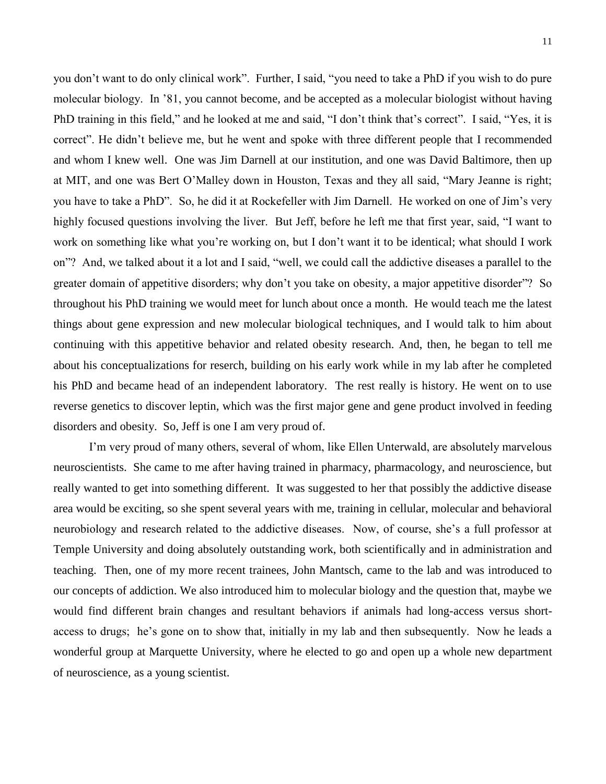you don't want to do only clinical work". Further, I said, "you need to take a PhD if you wish to do pure molecular biology. In '81, you cannot become, and be accepted as a molecular biologist without having PhD training in this field," and he looked at me and said, "I don't think that's correct". I said, "Yes, it is correct". He didn't believe me, but he went and spoke with three different people that I recommended and whom I knew well. One was Jim Darnell at our institution, and one was David Baltimore, then up at MIT, and one was Bert O'Malley down in Houston, Texas and they all said, "Mary Jeanne is right; you have to take a PhD". So, he did it at Rockefeller with Jim Darnell. He worked on one of Jim's very highly focused questions involving the liver. But Jeff, before he left me that first year, said, "I want to work on something like what you're working on, but I don't want it to be identical; what should I work on"? And, we talked about it a lot and I said, "well, we could call the addictive diseases a parallel to the greater domain of appetitive disorders; why don't you take on obesity, a major appetitive disorder"? So throughout his PhD training we would meet for lunch about once a month. He would teach me the latest things about gene expression and new molecular biological techniques, and I would talk to him about continuing with this appetitive behavior and related obesity research. And, then, he began to tell me about his conceptualizations for reserch, building on his early work while in my lab after he completed his PhD and became head of an independent laboratory. The rest really is history. He went on to use reverse genetics to discover leptin, which was the first major gene and gene product involved in feeding disorders and obesity. So, Jeff is one I am very proud of.

I'm very proud of many others, several of whom, like Ellen Unterwald, are absolutely marvelous neuroscientists. She came to me after having trained in pharmacy, pharmacology, and neuroscience, but really wanted to get into something different. It was suggested to her that possibly the addictive disease area would be exciting, so she spent several years with me, training in cellular, molecular and behavioral neurobiology and research related to the addictive diseases. Now, of course, she's a full professor at Temple University and doing absolutely outstanding work, both scientifically and in administration and teaching. Then, one of my more recent trainees, John Mantsch, came to the lab and was introduced to our concepts of addiction. We also introduced him to molecular biology and the question that, maybe we would find different brain changes and resultant behaviors if animals had long-access versus shortaccess to drugs; he's gone on to show that, initially in my lab and then subsequently. Now he leads a wonderful group at Marquette University, where he elected to go and open up a whole new department of neuroscience, as a young scientist.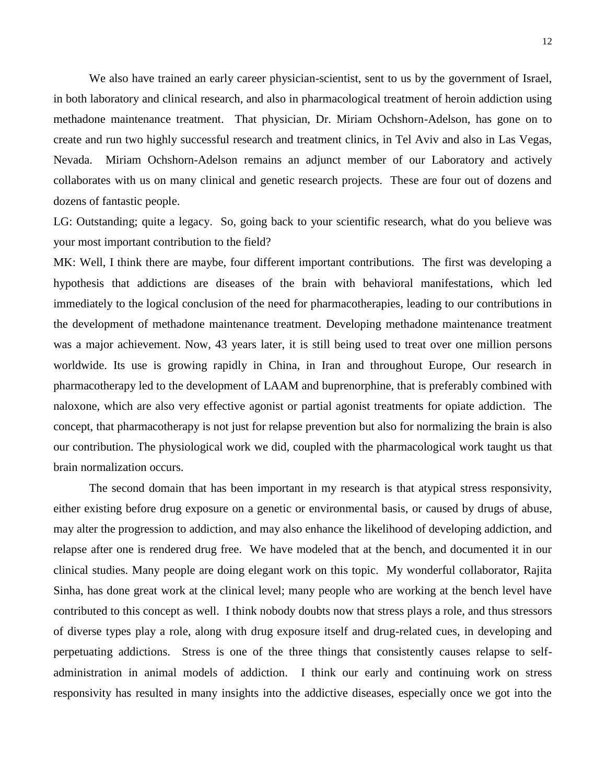We also have trained an early career physician-scientist, sent to us by the government of Israel, in both laboratory and clinical research, and also in pharmacological treatment of heroin addiction using methadone maintenance treatment. That physician, Dr. Miriam Ochshorn-Adelson, has gone on to create and run two highly successful research and treatment clinics, in Tel Aviv and also in Las Vegas, Nevada. Miriam Ochshorn-Adelson remains an adjunct member of our Laboratory and actively collaborates with us on many clinical and genetic research projects. These are four out of dozens and dozens of fantastic people.

LG: Outstanding; quite a legacy. So, going back to your scientific research, what do you believe was your most important contribution to the field?

MK: Well, I think there are maybe, four different important contributions. The first was developing a hypothesis that addictions are diseases of the brain with behavioral manifestations, which led immediately to the logical conclusion of the need for pharmacotherapies, leading to our contributions in the development of methadone maintenance treatment. Developing methadone maintenance treatment was a major achievement. Now, 43 years later, it is still being used to treat over one million persons worldwide. Its use is growing rapidly in China, in Iran and throughout Europe, Our research in pharmacotherapy led to the development of LAAM and buprenorphine, that is preferably combined with naloxone, which are also very effective agonist or partial agonist treatments for opiate addiction. The concept, that pharmacotherapy is not just for relapse prevention but also for normalizing the brain is also our contribution. The physiological work we did, coupled with the pharmacological work taught us that brain normalization occurs.

The second domain that has been important in my research is that atypical stress responsivity, either existing before drug exposure on a genetic or environmental basis, or caused by drugs of abuse, may alter the progression to addiction, and may also enhance the likelihood of developing addiction, and relapse after one is rendered drug free. We have modeled that at the bench, and documented it in our clinical studies. Many people are doing elegant work on this topic. My wonderful collaborator, Rajita Sinha, has done great work at the clinical level; many people who are working at the bench level have contributed to this concept as well. I think nobody doubts now that stress plays a role, and thus stressors of diverse types play a role, along with drug exposure itself and drug-related cues, in developing and perpetuating addictions. Stress is one of the three things that consistently causes relapse to selfadministration in animal models of addiction. I think our early and continuing work on stress responsivity has resulted in many insights into the addictive diseases, especially once we got into the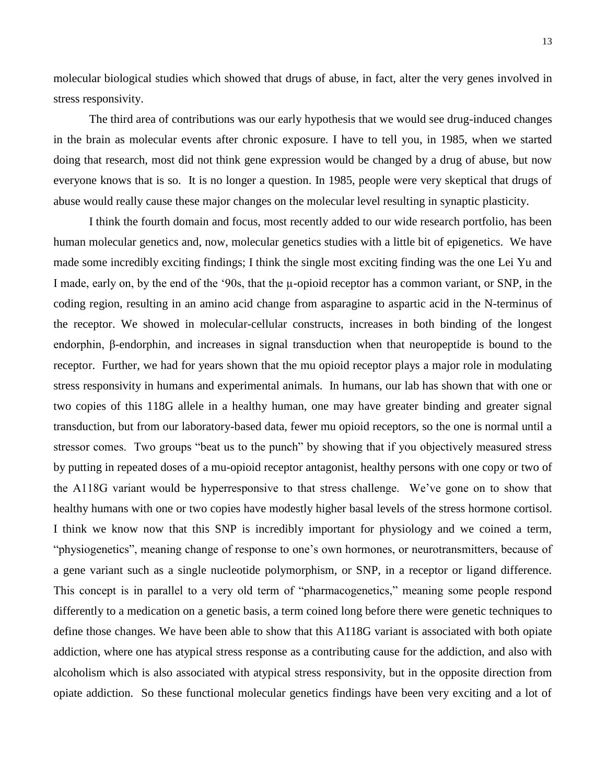molecular biological studies which showed that drugs of abuse, in fact, alter the very genes involved in stress responsivity.

The third area of contributions was our early hypothesis that we would see drug-induced changes in the brain as molecular events after chronic exposure. I have to tell you, in 1985, when we started doing that research, most did not think gene expression would be changed by a drug of abuse, but now everyone knows that is so. It is no longer a question. In 1985, people were very skeptical that drugs of abuse would really cause these major changes on the molecular level resulting in synaptic plasticity.

I think the fourth domain and focus, most recently added to our wide research portfolio, has been human molecular genetics and, now, molecular genetics studies with a little bit of epigenetics. We have made some incredibly exciting findings; I think the single most exciting finding was the one Lei Yu and I made, early on, by the end of the '90s, that the  $\mu$ -opioid receptor has a common variant, or SNP, in the coding region, resulting in an amino acid change from asparagine to aspartic acid in the N-terminus of the receptor. We showed in molecular-cellular constructs, increases in both binding of the longest endorphin, β-endorphin, and increases in signal transduction when that neuropeptide is bound to the receptor. Further, we had for years shown that the mu opioid receptor plays a major role in modulating stress responsivity in humans and experimental animals. In humans, our lab has shown that with one or two copies of this 118G allele in a healthy human, one may have greater binding and greater signal transduction, but from our laboratory-based data, fewer mu opioid receptors, so the one is normal until a stressor comes. Two groups "beat us to the punch" by showing that if you objectively measured stress by putting in repeated doses of a mu-opioid receptor antagonist, healthy persons with one copy or two of the A118G variant would be hyperresponsive to that stress challenge. We've gone on to show that healthy humans with one or two copies have modestly higher basal levels of the stress hormone cortisol. I think we know now that this SNP is incredibly important for physiology and we coined a term, "physiogenetics", meaning change of response to one's own hormones, or neurotransmitters, because of a gene variant such as a single nucleotide polymorphism, or SNP, in a receptor or ligand difference. This concept is in parallel to a very old term of "pharmacogenetics," meaning some people respond differently to a medication on a genetic basis, a term coined long before there were genetic techniques to define those changes. We have been able to show that this A118G variant is associated with both opiate addiction, where one has atypical stress response as a contributing cause for the addiction, and also with alcoholism which is also associated with atypical stress responsivity, but in the opposite direction from opiate addiction. So these functional molecular genetics findings have been very exciting and a lot of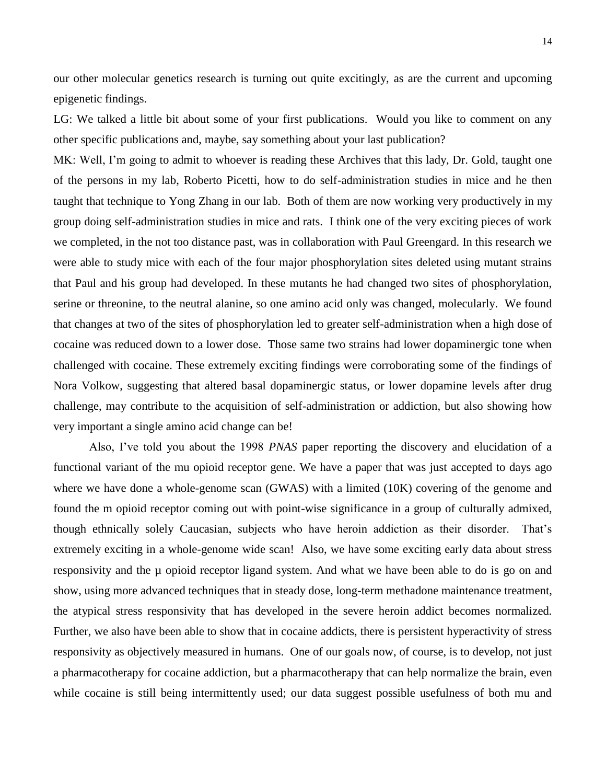our other molecular genetics research is turning out quite excitingly, as are the current and upcoming epigenetic findings.

LG: We talked a little bit about some of your first publications. Would you like to comment on any other specific publications and, maybe, say something about your last publication?

MK: Well, I'm going to admit to whoever is reading these Archives that this lady, Dr. Gold, taught one of the persons in my lab, Roberto Picetti, how to do self-administration studies in mice and he then taught that technique to Yong Zhang in our lab. Both of them are now working very productively in my group doing self-administration studies in mice and rats. I think one of the very exciting pieces of work we completed, in the not too distance past, was in collaboration with Paul Greengard. In this research we were able to study mice with each of the four major phosphorylation sites deleted using mutant strains that Paul and his group had developed. In these mutants he had changed two sites of phosphorylation, serine or threonine, to the neutral alanine, so one amino acid only was changed, molecularly. We found that changes at two of the sites of phosphorylation led to greater self-administration when a high dose of cocaine was reduced down to a lower dose. Those same two strains had lower dopaminergic tone when challenged with cocaine. These extremely exciting findings were corroborating some of the findings of Nora Volkow, suggesting that altered basal dopaminergic status, or lower dopamine levels after drug challenge, may contribute to the acquisition of self-administration or addiction, but also showing how very important a single amino acid change can be!

Also, I've told you about the 1998 *PNAS* paper reporting the discovery and elucidation of a functional variant of the mu opioid receptor gene. We have a paper that was just accepted to days ago where we have done a whole-genome scan (GWAS) with a limited (10K) covering of the genome and found the m opioid receptor coming out with point-wise significance in a group of culturally admixed, though ethnically solely Caucasian, subjects who have heroin addiction as their disorder. That's extremely exciting in a whole-genome wide scan! Also, we have some exciting early data about stress responsivity and the µ opioid receptor ligand system. And what we have been able to do is go on and show, using more advanced techniques that in steady dose, long-term methadone maintenance treatment, the atypical stress responsivity that has developed in the severe heroin addict becomes normalized. Further, we also have been able to show that in cocaine addicts, there is persistent hyperactivity of stress responsivity as objectively measured in humans. One of our goals now, of course, is to develop, not just a pharmacotherapy for cocaine addiction, but a pharmacotherapy that can help normalize the brain, even while cocaine is still being intermittently used; our data suggest possible usefulness of both mu and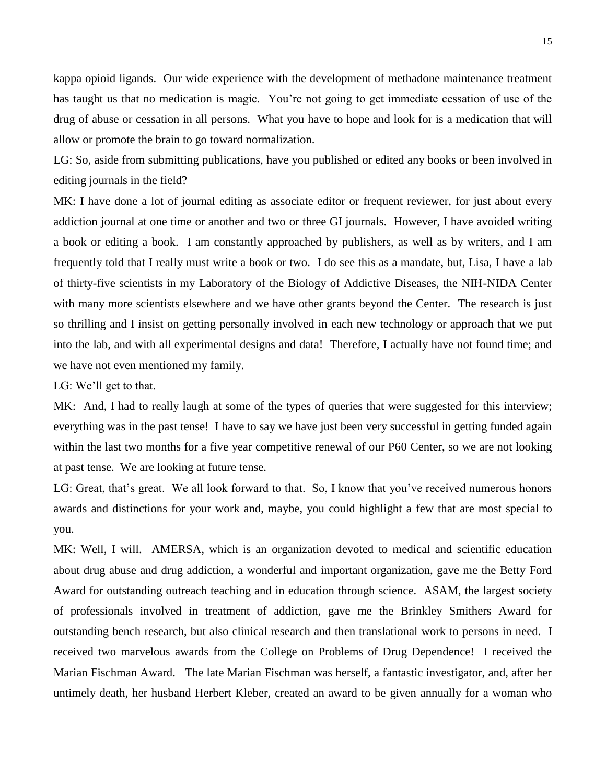kappa opioid ligands. Our wide experience with the development of methadone maintenance treatment has taught us that no medication is magic. You're not going to get immediate cessation of use of the drug of abuse or cessation in all persons. What you have to hope and look for is a medication that will allow or promote the brain to go toward normalization.

LG: So, aside from submitting publications, have you published or edited any books or been involved in editing journals in the field?

MK: I have done a lot of journal editing as associate editor or frequent reviewer, for just about every addiction journal at one time or another and two or three GI journals. However, I have avoided writing a book or editing a book. I am constantly approached by publishers, as well as by writers, and I am frequently told that I really must write a book or two. I do see this as a mandate, but, Lisa, I have a lab of thirty-five scientists in my Laboratory of the Biology of Addictive Diseases, the NIH-NIDA Center with many more scientists elsewhere and we have other grants beyond the Center. The research is just so thrilling and I insist on getting personally involved in each new technology or approach that we put into the lab, and with all experimental designs and data! Therefore, I actually have not found time; and we have not even mentioned my family.

LG: We'll get to that.

MK: And, I had to really laugh at some of the types of queries that were suggested for this interview; everything was in the past tense! I have to say we have just been very successful in getting funded again within the last two months for a five year competitive renewal of our P60 Center, so we are not looking at past tense. We are looking at future tense.

LG: Great, that's great. We all look forward to that. So, I know that you've received numerous honors awards and distinctions for your work and, maybe, you could highlight a few that are most special to you.

MK: Well, I will. AMERSA, which is an organization devoted to medical and scientific education about drug abuse and drug addiction, a wonderful and important organization, gave me the Betty Ford Award for outstanding outreach teaching and in education through science. ASAM, the largest society of professionals involved in treatment of addiction, gave me the Brinkley Smithers Award for outstanding bench research, but also clinical research and then translational work to persons in need. I received two marvelous awards from the College on Problems of Drug Dependence! I received the Marian Fischman Award. The late Marian Fischman was herself, a fantastic investigator, and, after her untimely death, her husband Herbert Kleber, created an award to be given annually for a woman who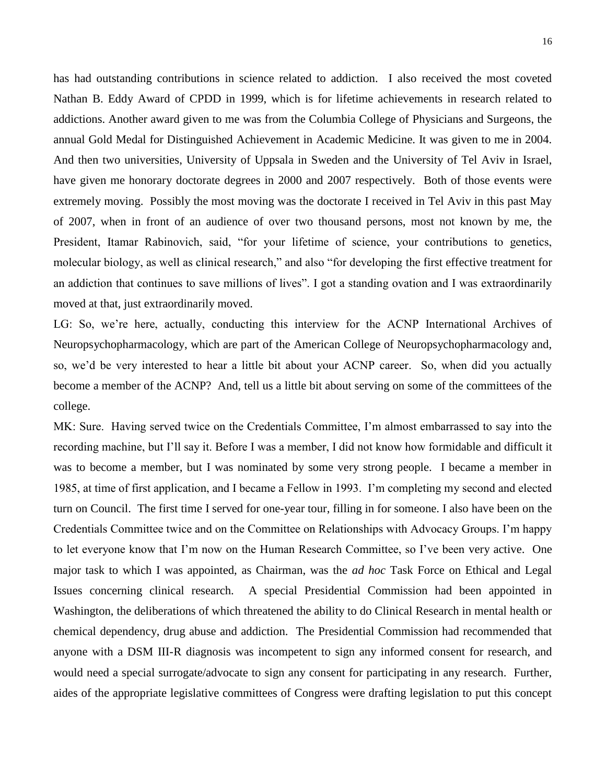has had outstanding contributions in science related to addiction. I also received the most coveted Nathan B. Eddy Award of CPDD in 1999, which is for lifetime achievements in research related to addictions. Another award given to me was from the Columbia College of Physicians and Surgeons, the annual Gold Medal for Distinguished Achievement in Academic Medicine. It was given to me in 2004. And then two universities, University of Uppsala in Sweden and the University of Tel Aviv in Israel, have given me honorary doctorate degrees in 2000 and 2007 respectively. Both of those events were extremely moving. Possibly the most moving was the doctorate I received in Tel Aviv in this past May of 2007, when in front of an audience of over two thousand persons, most not known by me, the President, Itamar Rabinovich, said, "for your lifetime of science, your contributions to genetics, molecular biology, as well as clinical research," and also "for developing the first effective treatment for an addiction that continues to save millions of lives". I got a standing ovation and I was extraordinarily moved at that, just extraordinarily moved.

LG: So, we're here, actually, conducting this interview for the ACNP International Archives of Neuropsychopharmacology, which are part of the American College of Neuropsychopharmacology and, so, we'd be very interested to hear a little bit about your ACNP career. So, when did you actually become a member of the ACNP? And, tell us a little bit about serving on some of the committees of the college.

MK: Sure. Having served twice on the Credentials Committee, I'm almost embarrassed to say into the recording machine, but I'll say it. Before I was a member, I did not know how formidable and difficult it was to become a member, but I was nominated by some very strong people. I became a member in 1985, at time of first application, and I became a Fellow in 1993. I'm completing my second and elected turn on Council. The first time I served for one-year tour, filling in for someone. I also have been on the Credentials Committee twice and on the Committee on Relationships with Advocacy Groups. I'm happy to let everyone know that I'm now on the Human Research Committee, so I've been very active. One major task to which I was appointed, as Chairman, was the *ad hoc* Task Force on Ethical and Legal Issues concerning clinical research. A special Presidential Commission had been appointed in Washington, the deliberations of which threatened the ability to do Clinical Research in mental health or chemical dependency, drug abuse and addiction. The Presidential Commission had recommended that anyone with a DSM III-R diagnosis was incompetent to sign any informed consent for research, and would need a special surrogate/advocate to sign any consent for participating in any research. Further, aides of the appropriate legislative committees of Congress were drafting legislation to put this concept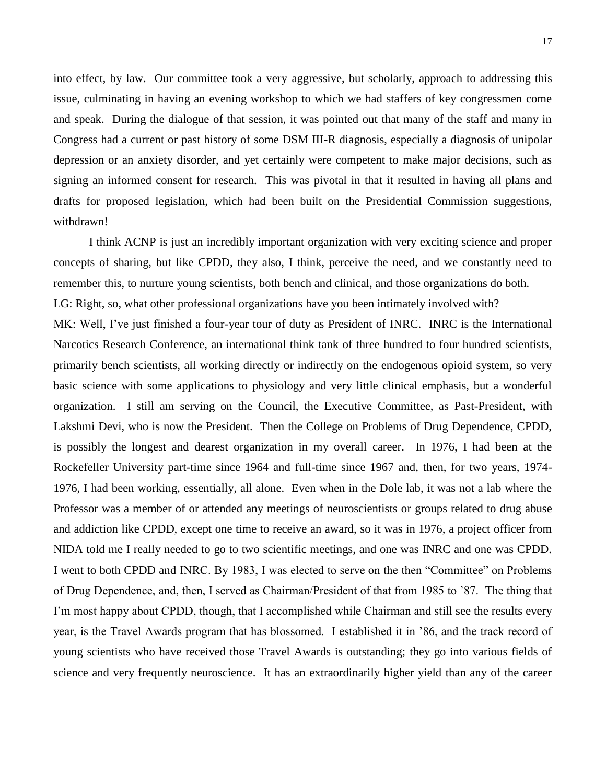into effect, by law. Our committee took a very aggressive, but scholarly, approach to addressing this issue, culminating in having an evening workshop to which we had staffers of key congressmen come and speak. During the dialogue of that session, it was pointed out that many of the staff and many in Congress had a current or past history of some DSM III-R diagnosis, especially a diagnosis of unipolar depression or an anxiety disorder, and yet certainly were competent to make major decisions, such as signing an informed consent for research. This was pivotal in that it resulted in having all plans and drafts for proposed legislation, which had been built on the Presidential Commission suggestions, withdrawn!

I think ACNP is just an incredibly important organization with very exciting science and proper concepts of sharing, but like CPDD, they also, I think, perceive the need, and we constantly need to remember this, to nurture young scientists, both bench and clinical, and those organizations do both. LG: Right, so, what other professional organizations have you been intimately involved with? MK: Well, I've just finished a four-year tour of duty as President of INRC. INRC is the International Narcotics Research Conference, an international think tank of three hundred to four hundred scientists, primarily bench scientists, all working directly or indirectly on the endogenous opioid system, so very basic science with some applications to physiology and very little clinical emphasis, but a wonderful organization. I still am serving on the Council, the Executive Committee, as Past-President, with Lakshmi Devi, who is now the President. Then the College on Problems of Drug Dependence, CPDD, is possibly the longest and dearest organization in my overall career. In 1976, I had been at the Rockefeller University part-time since 1964 and full-time since 1967 and, then, for two years, 1974- 1976, I had been working, essentially, all alone. Even when in the Dole lab, it was not a lab where the Professor was a member of or attended any meetings of neuroscientists or groups related to drug abuse and addiction like CPDD, except one time to receive an award, so it was in 1976, a project officer from NIDA told me I really needed to go to two scientific meetings, and one was INRC and one was CPDD. I went to both CPDD and INRC. By 1983, I was elected to serve on the then "Committee" on Problems of Drug Dependence, and, then, I served as Chairman/President of that from 1985 to '87. The thing that I'm most happy about CPDD, though, that I accomplished while Chairman and still see the results every year, is the Travel Awards program that has blossomed. I established it in '86, and the track record of young scientists who have received those Travel Awards is outstanding; they go into various fields of science and very frequently neuroscience. It has an extraordinarily higher yield than any of the career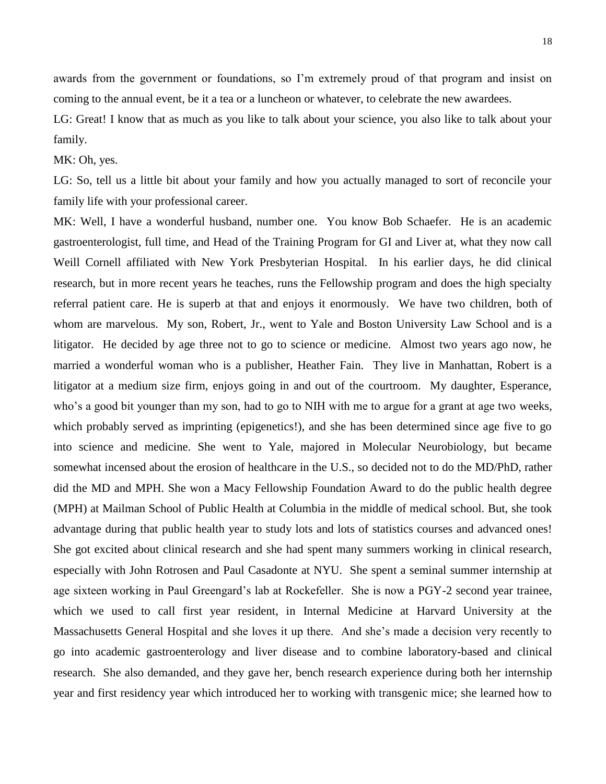awards from the government or foundations, so I'm extremely proud of that program and insist on coming to the annual event, be it a tea or a luncheon or whatever, to celebrate the new awardees.

LG: Great! I know that as much as you like to talk about your science, you also like to talk about your family.

MK: Oh, yes.

LG: So, tell us a little bit about your family and how you actually managed to sort of reconcile your family life with your professional career.

MK: Well, I have a wonderful husband, number one. You know Bob Schaefer. He is an academic gastroenterologist, full time, and Head of the Training Program for GI and Liver at, what they now call Weill Cornell affiliated with New York Presbyterian Hospital. In his earlier days, he did clinical research, but in more recent years he teaches, runs the Fellowship program and does the high specialty referral patient care. He is superb at that and enjoys it enormously. We have two children, both of whom are marvelous. My son, Robert, Jr., went to Yale and Boston University Law School and is a litigator. He decided by age three not to go to science or medicine. Almost two years ago now, he married a wonderful woman who is a publisher, Heather Fain. They live in Manhattan, Robert is a litigator at a medium size firm, enjoys going in and out of the courtroom. My daughter, Esperance, who's a good bit younger than my son, had to go to NIH with me to argue for a grant at age two weeks, which probably served as imprinting (epigenetics!), and she has been determined since age five to go into science and medicine. She went to Yale, majored in Molecular Neurobiology, but became somewhat incensed about the erosion of healthcare in the U.S., so decided not to do the MD/PhD, rather did the MD and MPH. She won a Macy Fellowship Foundation Award to do the public health degree (MPH) at Mailman School of Public Health at Columbia in the middle of medical school. But, she took advantage during that public health year to study lots and lots of statistics courses and advanced ones! She got excited about clinical research and she had spent many summers working in clinical research, especially with John Rotrosen and Paul Casadonte at NYU. She spent a seminal summer internship at age sixteen working in Paul Greengard's lab at Rockefeller. She is now a PGY-2 second year trainee, which we used to call first year resident, in Internal Medicine at Harvard University at the Massachusetts General Hospital and she loves it up there. And she's made a decision very recently to go into academic gastroenterology and liver disease and to combine laboratory-based and clinical research. She also demanded, and they gave her, bench research experience during both her internship year and first residency year which introduced her to working with transgenic mice; she learned how to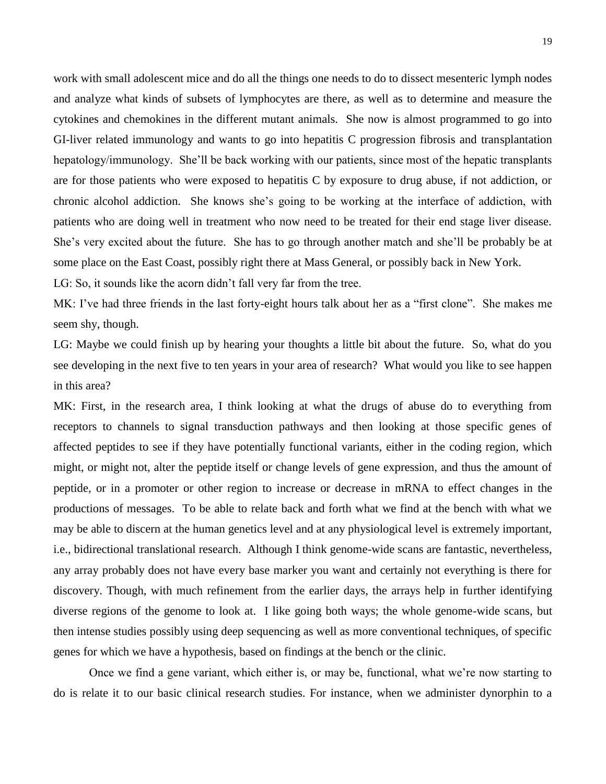work with small adolescent mice and do all the things one needs to do to dissect mesenteric lymph nodes and analyze what kinds of subsets of lymphocytes are there, as well as to determine and measure the cytokines and chemokines in the different mutant animals. She now is almost programmed to go into GI-liver related immunology and wants to go into hepatitis C progression fibrosis and transplantation hepatology/immunology. She'll be back working with our patients, since most of the hepatic transplants are for those patients who were exposed to hepatitis C by exposure to drug abuse, if not addiction, or chronic alcohol addiction. She knows she's going to be working at the interface of addiction, with patients who are doing well in treatment who now need to be treated for their end stage liver disease. She's very excited about the future. She has to go through another match and she'll be probably be at some place on the East Coast, possibly right there at Mass General, or possibly back in New York.

LG: So, it sounds like the acorn didn't fall very far from the tree.

MK: I've had three friends in the last forty-eight hours talk about her as a "first clone". She makes me seem shy, though.

LG: Maybe we could finish up by hearing your thoughts a little bit about the future. So, what do you see developing in the next five to ten years in your area of research? What would you like to see happen in this area?

MK: First, in the research area, I think looking at what the drugs of abuse do to everything from receptors to channels to signal transduction pathways and then looking at those specific genes of affected peptides to see if they have potentially functional variants, either in the coding region, which might, or might not, alter the peptide itself or change levels of gene expression, and thus the amount of peptide, or in a promoter or other region to increase or decrease in mRNA to effect changes in the productions of messages. To be able to relate back and forth what we find at the bench with what we may be able to discern at the human genetics level and at any physiological level is extremely important, i.e., bidirectional translational research. Although I think genome-wide scans are fantastic, nevertheless, any array probably does not have every base marker you want and certainly not everything is there for discovery. Though, with much refinement from the earlier days, the arrays help in further identifying diverse regions of the genome to look at. I like going both ways; the whole genome-wide scans, but then intense studies possibly using deep sequencing as well as more conventional techniques, of specific genes for which we have a hypothesis, based on findings at the bench or the clinic.

Once we find a gene variant, which either is, or may be, functional, what we're now starting to do is relate it to our basic clinical research studies. For instance, when we administer dynorphin to a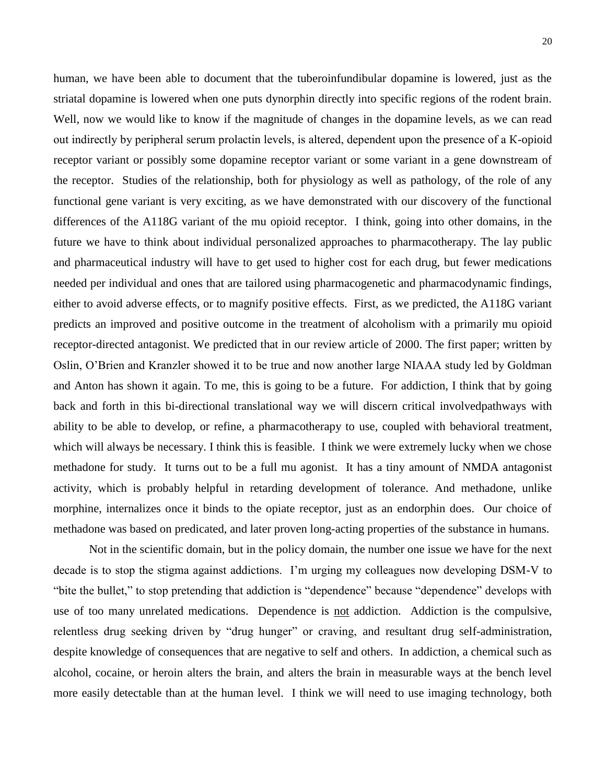20

striatal dopamine is lowered when one puts dynorphin directly into specific regions of the rodent brain. Well, now we would like to know if the magnitude of changes in the dopamine levels, as we can read out indirectly by peripheral serum prolactin levels, is altered, dependent upon the presence of a К-opioid receptor variant or possibly some dopamine receptor variant or some variant in a gene downstream of the receptor. Studies of the relationship, both for physiology as well as pathology, of the role of any functional gene variant is very exciting, as we have demonstrated with our discovery of the functional differences of the A118G variant of the mu opioid receptor. I think, going into other domains, in the future we have to think about individual personalized approaches to pharmacotherapy. The lay public and pharmaceutical industry will have to get used to higher cost for each drug, but fewer medications needed per individual and ones that are tailored using pharmacogenetic and pharmacodynamic findings, either to avoid adverse effects, or to magnify positive effects. First, as we predicted, the A118G variant predicts an improved and positive outcome in the treatment of alcoholism with a primarily mu opioid receptor-directed antagonist. We predicted that in our review article of 2000. The first paper; written by Oslin, O'Brien and Kranzler showed it to be true and now another large NIAAA study led by Goldman and Anton has shown it again. To me, this is going to be a future. For addiction, I think that by going back and forth in this bi-directional translational way we will discern critical involvedpathways with ability to be able to develop, or refine, a pharmacotherapy to use, coupled with behavioral treatment, which will always be necessary. I think this is feasible. I think we were extremely lucky when we chose methadone for study. It turns out to be a full mu agonist. It has a tiny amount of NMDA antagonist activity, which is probably helpful in retarding development of tolerance. And methadone, unlike morphine, internalizes once it binds to the opiate receptor, just as an endorphin does. Our choice of methadone was based on predicated, and later proven long-acting properties of the substance in humans.

Not in the scientific domain, but in the policy domain, the number one issue we have for the next decade is to stop the stigma against addictions. I'm urging my colleagues now developing DSM-V to "bite the bullet," to stop pretending that addiction is "dependence" because "dependence" develops with use of too many unrelated medications. Dependence is not addiction. Addiction is the compulsive, relentless drug seeking driven by "drug hunger" or craving, and resultant drug self-administration, despite knowledge of consequences that are negative to self and others. In addiction, a chemical such as alcohol, cocaine, or heroin alters the brain, and alters the brain in measurable ways at the bench level more easily detectable than at the human level. I think we will need to use imaging technology, both